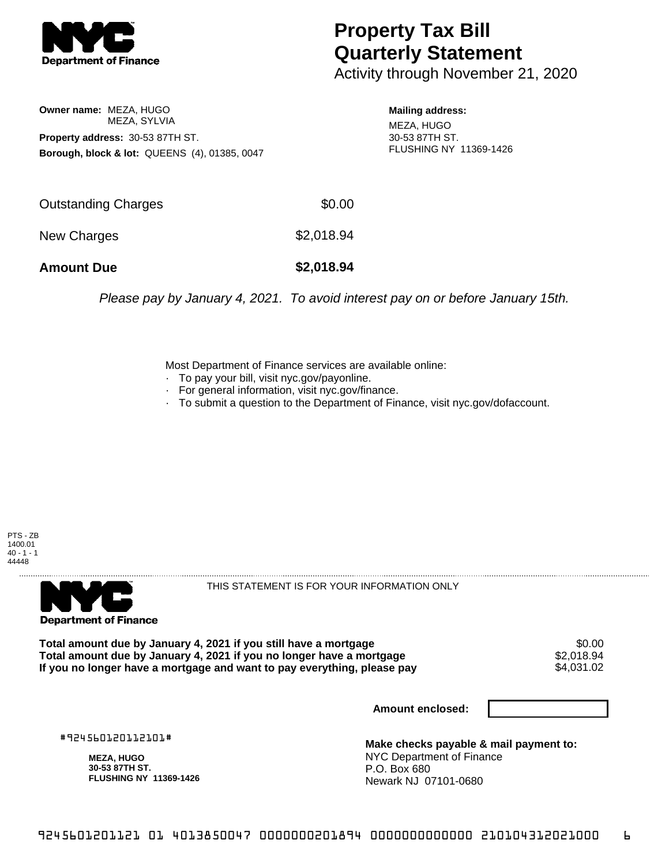

## **Property Tax Bill Quarterly Statement**

Activity through November 21, 2020

**Owner name:** MEZA, HUGO MEZA, SYLVIA **Property address:** 30-53 87TH ST. **Borough, block & lot:** QUEENS (4), 01385, 0047

**Mailing address:** MEZA, HUGO 30-53 87TH ST.

FLUSHING NY 11369-1426

| <b>Amount Due</b>   | \$2,018.94 |
|---------------------|------------|
| New Charges         | \$2,018.94 |
| Outstanding Charges | \$0.00     |

Please pay by January 4, 2021. To avoid interest pay on or before January 15th.

Most Department of Finance services are available online:

- · To pay your bill, visit nyc.gov/payonline.
- For general information, visit nyc.gov/finance.
- · To submit a question to the Department of Finance, visit nyc.gov/dofaccount.

PTS - ZB 1400.01  $40 - 1 - 1$ 44448



THIS STATEMENT IS FOR YOUR INFORMATION ONLY

Total amount due by January 4, 2021 if you still have a mortgage \$0.00<br>Total amount due by January 4, 2021 if you no longer have a mortgage \$2.018.94 **Total amount due by January 4, 2021 if you no longer have a mortgage**  $$2,018.94$ **<br>If you no longer have a mortgage and want to pay everything, please pay**  $$4.031.02$ If you no longer have a mortgage and want to pay everything, please pay

**Amount enclosed:**

#924560120112101#

**MEZA, HUGO 30-53 87TH ST. FLUSHING NY 11369-1426**

**Make checks payable & mail payment to:** NYC Department of Finance P.O. Box 680 Newark NJ 07101-0680